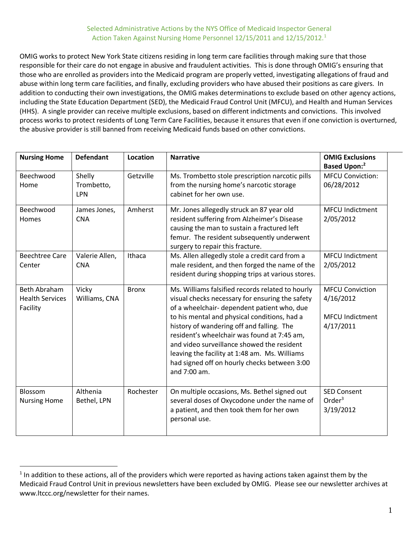## Selected Administrative Actions by the NYS Office of Medicaid Inspector General Action Taken Against Nursing Home Personnel 12/15/2011 and 12/15/2012.<sup>1</sup>

OMIG works to protect New York State citizens residing in long term care facilities through making sure that those responsible for their care do not engage in abusive and fraudulent activities. This is done through OMIG's ensuring that those who are enrolled as providers into the Medicaid program are properly vetted, investigating allegations of fraud and abuse within long term care facilities, and finally, excluding providers who have abused their positions as care givers. In addition to conducting their own investigations, the OMIG makes determinations to exclude based on other agency actions, including the State Education Department (SED), the Medicaid Fraud Control Unit (MFCU), and Health and Human Services (HHS). A single provider can receive multiple exclusions, based on different indictments and convictions. This involved process works to protect residents of Long Term Care Facilities, because it ensures that even if one conviction is overturned, the abusive provider is still banned from receiving Medicaid funds based on other convictions.

| <b>Nursing Home</b>                                | <b>Defendant</b>                   | Location     | <b>Narrative</b>                                                                                                                                                                                                                                                                                                                                                                                                                                              | <b>OMIG Exclusions</b><br><b>Based Upon:</b> <sup>2</sup>                  |
|----------------------------------------------------|------------------------------------|--------------|---------------------------------------------------------------------------------------------------------------------------------------------------------------------------------------------------------------------------------------------------------------------------------------------------------------------------------------------------------------------------------------------------------------------------------------------------------------|----------------------------------------------------------------------------|
| Beechwood<br>Home                                  | Shelly<br>Trombetto,<br><b>LPN</b> | Getzville    | Ms. Trombetto stole prescription narcotic pills<br>from the nursing home's narcotic storage<br>cabinet for her own use.                                                                                                                                                                                                                                                                                                                                       | <b>MFCU Conviction:</b><br>06/28/2012                                      |
| Beechwood<br>Homes                                 | James Jones,<br><b>CNA</b>         | Amherst      | Mr. Jones allegedly struck an 87 year old<br>resident suffering from Alzheimer's Disease<br>causing the man to sustain a fractured left<br>femur. The resident subsequently underwent<br>surgery to repair this fracture.                                                                                                                                                                                                                                     | <b>MFCU Indictment</b><br>2/05/2012                                        |
| <b>Beechtree Care</b><br>Center                    | Valerie Allen,<br><b>CNA</b>       | Ithaca       | Ms. Allen allegedly stole a credit card from a<br>male resident, and then forged the name of the<br>resident during shopping trips at various stores.                                                                                                                                                                                                                                                                                                         | <b>MFCU Indictment</b><br>2/05/2012                                        |
| Beth Abraham<br><b>Health Services</b><br>Facility | Vicky<br>Williams, CNA             | <b>Bronx</b> | Ms. Williams falsified records related to hourly<br>visual checks necessary for ensuring the safety<br>of a wheelchair- dependent patient who, due<br>to his mental and physical conditions, had a<br>history of wandering off and falling. The<br>resident's wheelchair was found at 7:45 am,<br>and video surveillance showed the resident<br>leaving the facility at 1:48 am. Ms. Williams<br>had signed off on hourly checks between 3:00<br>and 7:00 am. | <b>MFCU Conviction</b><br>4/16/2012<br><b>MFCU Indictment</b><br>4/17/2011 |
| Blossom<br><b>Nursing Home</b>                     | Althenia<br>Bethel, LPN            | Rochester    | On multiple occasions, Ms. Bethel signed out<br>several doses of Oxycodone under the name of<br>a patient, and then took them for her own<br>personal use.                                                                                                                                                                                                                                                                                                    | <b>SED Consent</b><br>Order $3$<br>3/19/2012                               |

 $\overline{a}$ 

 $1$  In addition to these actions, all of the providers which were reported as having actions taken against them by the Medicaid Fraud Control Unit in previous newsletters have been excluded by OMIG. Please see our newsletter archives at www.ltccc.org/newsletter for their names.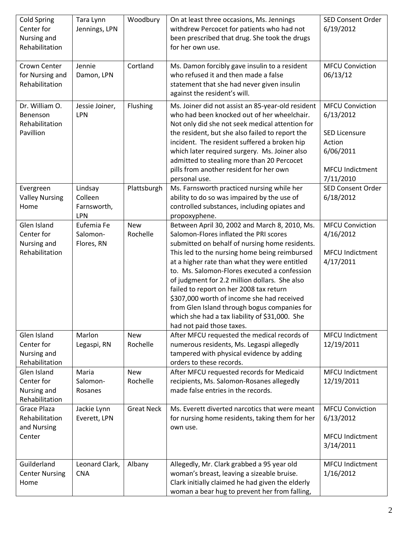| <b>Cold Spring</b><br>Center for<br>Nursing and<br>Rehabilitation | Tara Lynn<br>Jennings, LPN               | Woodbury               | On at least three occasions, Ms. Jennings<br>withdrew Percocet for patients who had not<br>been prescribed that drug. She took the drugs<br>for her own use.                                                                                                                                                                                                                                                                                                                                                                                                         | <b>SED Consent Order</b><br>6/19/2012                                                                                     |
|-------------------------------------------------------------------|------------------------------------------|------------------------|----------------------------------------------------------------------------------------------------------------------------------------------------------------------------------------------------------------------------------------------------------------------------------------------------------------------------------------------------------------------------------------------------------------------------------------------------------------------------------------------------------------------------------------------------------------------|---------------------------------------------------------------------------------------------------------------------------|
| Crown Center<br>for Nursing and<br>Rehabilitation                 | Jennie<br>Damon, LPN                     | Cortland               | Ms. Damon forcibly gave insulin to a resident<br>who refused it and then made a false<br>statement that she had never given insulin<br>against the resident's will.                                                                                                                                                                                                                                                                                                                                                                                                  | <b>MFCU Conviction</b><br>06/13/12                                                                                        |
| Dr. William O.<br>Benenson<br>Rehabilitation<br>Pavillion         | Jessie Joiner,<br>LPN                    | Flushing               | Ms. Joiner did not assist an 85-year-old resident<br>who had been knocked out of her wheelchair.<br>Not only did she not seek medical attention for<br>the resident, but she also failed to report the<br>incident. The resident suffered a broken hip<br>which later required surgery. Ms. Joiner also<br>admitted to stealing more than 20 Percocet<br>pills from another resident for her own<br>personal use.                                                                                                                                                    | <b>MFCU Conviction</b><br>6/13/2012<br><b>SED Licensure</b><br>Action<br>6/06/2011<br><b>MFCU Indictment</b><br>7/11/2010 |
| Evergreen<br><b>Valley Nursing</b><br>Home                        | Lindsay<br>Colleen<br>Farnsworth,<br>LPN | Plattsburgh            | Ms. Farnsworth practiced nursing while her<br>ability to do so was impaired by the use of<br>controlled substances, including opiates and<br>propoxyphene.                                                                                                                                                                                                                                                                                                                                                                                                           | <b>SED Consent Order</b><br>6/18/2012                                                                                     |
| Glen Island<br>Center for<br>Nursing and<br>Rehabilitation        | Eufemia Fe<br>Salomon-<br>Flores, RN     | <b>New</b><br>Rochelle | Between April 30, 2002 and March 8, 2010, Ms.<br>Salomon-Flores inflated the PRI scores<br>submitted on behalf of nursing home residents.<br>This led to the nursing home being reimbursed<br>at a higher rate than what they were entitled<br>to. Ms. Salomon-Flores executed a confession<br>of judgment for 2.2 million dollars. She also<br>failed to report on her 2008 tax return<br>\$307,000 worth of income she had received<br>from Glen Island through bogus companies for<br>which she had a tax liability of \$31,000. She<br>had not paid those taxes. | <b>MFCU Conviction</b><br>4/16/2012<br><b>MFCU Indictment</b><br>4/17/2011                                                |
| Glen Island<br>Center for<br>Nursing and<br>Rehabilitation        | Marlon<br>Legaspi, RN                    | <b>New</b><br>Rochelle | After MFCU requested the medical records of<br>numerous residents, Ms. Legaspi allegedly<br>tampered with physical evidence by adding<br>orders to these records.                                                                                                                                                                                                                                                                                                                                                                                                    | <b>MFCU Indictment</b><br>12/19/2011                                                                                      |
| Glen Island<br>Center for<br>Nursing and<br>Rehabilitation        | Maria<br>Salomon-<br>Rosanes             | <b>New</b><br>Rochelle | After MFCU requested records for Medicaid<br>recipients, Ms. Salomon-Rosanes allegedly<br>made false entries in the records.                                                                                                                                                                                                                                                                                                                                                                                                                                         | <b>MFCU Indictment</b><br>12/19/2011                                                                                      |
| <b>Grace Plaza</b><br>Rehabilitation<br>and Nursing<br>Center     | Jackie Lynn<br>Everett, LPN              | <b>Great Neck</b>      | Ms. Everett diverted narcotics that were meant<br>for nursing home residents, taking them for her<br>own use.                                                                                                                                                                                                                                                                                                                                                                                                                                                        | <b>MFCU Conviction</b><br>6/13/2012<br><b>MFCU Indictment</b><br>3/14/2011                                                |
| Guilderland<br><b>Center Nursing</b><br>Home                      | Leonard Clark,<br><b>CNA</b>             | Albany                 | Allegedly, Mr. Clark grabbed a 95 year old<br>woman's breast, leaving a sizeable bruise.<br>Clark initially claimed he had given the elderly<br>woman a bear hug to prevent her from falling,                                                                                                                                                                                                                                                                                                                                                                        | <b>MFCU Indictment</b><br>1/16/2012                                                                                       |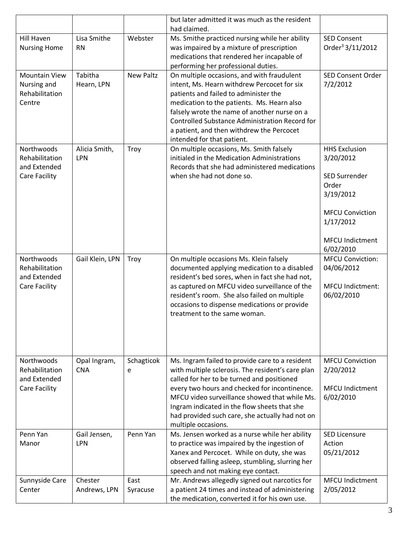|                                                                      |                             |                  | but later admitted it was much as the resident<br>had claimed.                                                                                                                                                                                                                                                                                                                 |                                                                                                                                                        |
|----------------------------------------------------------------------|-----------------------------|------------------|--------------------------------------------------------------------------------------------------------------------------------------------------------------------------------------------------------------------------------------------------------------------------------------------------------------------------------------------------------------------------------|--------------------------------------------------------------------------------------------------------------------------------------------------------|
| <b>Hill Haven</b><br><b>Nursing Home</b>                             | Lisa Smithe<br><b>RN</b>    | Webster          | Ms. Smithe practiced nursing while her ability<br>was impaired by a mixture of prescription<br>medications that rendered her incapable of<br>performing her professional duties.                                                                                                                                                                                               | <b>SED Consent</b><br>Order <sup>3</sup> 3/11/2012                                                                                                     |
| <b>Mountain View</b><br>Nursing and<br>Rehabilitation<br>Centre      | Tabitha<br>Hearn, LPN       | <b>New Paltz</b> | On multiple occasions, and with fraudulent<br>intent, Ms. Hearn withdrew Percocet for six<br>patients and failed to administer the<br>medication to the patients. Ms. Hearn also<br>falsely wrote the name of another nurse on a<br><b>Controlled Substance Administration Record for</b><br>a patient, and then withdrew the Percocet<br>intended for that patient.           | <b>SED Consent Order</b><br>7/2/2012                                                                                                                   |
| Northwoods<br>Rehabilitation<br>and Extended<br>Care Facility        | Alicia Smith,<br><b>LPN</b> | Troy             | On multiple occasions, Ms. Smith falsely<br>initialed in the Medication Administrations<br>Records that she had administered medications<br>when she had not done so.                                                                                                                                                                                                          | <b>HHS Exclusion</b><br>3/20/2012<br><b>SED Surrender</b><br>Order<br>3/19/2012<br><b>MFCU Conviction</b><br>1/17/2012<br>MFCU Indictment<br>6/02/2010 |
| Northwoods<br>Rehabilitation<br>and Extended<br><b>Care Facility</b> | Gail Klein, LPN             | Troy             | On multiple occasions Ms. Klein falsely<br>documented applying medication to a disabled<br>resident's bed sores, when in fact she had not,<br>as captured on MFCU video surveillance of the<br>resident's room. She also failed on multiple<br>occasions to dispense medications or provide<br>treatment to the same woman.                                                    | <b>MFCU Conviction:</b><br>04/06/2012<br><b>MFCU Indictment:</b><br>06/02/2010                                                                         |
| Northwoods<br>Rehabilitation<br>and Extended<br><b>Care Facility</b> | Opal Ingram,<br><b>CNA</b>  | Schagticok<br>e  | Ms. Ingram failed to provide care to a resident<br>with multiple sclerosis. The resident's care plan<br>called for her to be turned and positioned<br>every two hours and checked for incontinence.<br>MFCU video surveillance showed that while Ms.<br>Ingram indicated in the flow sheets that she<br>had provided such care, she actually had not on<br>multiple occasions. | <b>MFCU Conviction</b><br>2/20/2012<br><b>MFCU Indictment</b><br>6/02/2010                                                                             |
| Penn Yan<br>Manor                                                    | Gail Jensen,<br><b>LPN</b>  | Penn Yan         | Ms. Jensen worked as a nurse while her ability<br>to practice was impaired by the ingestion of<br>Xanex and Percocet. While on duty, she was<br>observed falling asleep, stumbling, slurring her<br>speech and not making eye contact.                                                                                                                                         | <b>SED Licensure</b><br>Action<br>05/21/2012                                                                                                           |
| Sunnyside Care<br>Center                                             | Chester<br>Andrews, LPN     | East<br>Syracuse | Mr. Andrews allegedly signed out narcotics for<br>a patient 24 times and instead of administering<br>the medication, converted it for his own use.                                                                                                                                                                                                                             | <b>MFCU Indictment</b><br>2/05/2012                                                                                                                    |